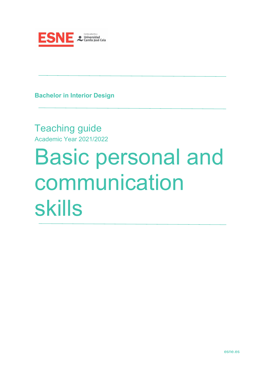

**Bachelor in Interior Design**

Teaching guide Academic Year 2021/2022

# Basic personal and communication skills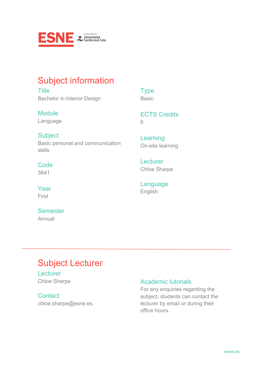

### Subject information

**Title** Bachelor in Interior Design

### **Module**

Language

ECTS Credits

6

**Type** Basic

### **Subject** Basic personal and communication skills

#### **Code** 3641

### Year First

### **Semester** Annual

Learning On-site learning

**Lecturer** Chloe Sharpe

Language English

# Subject Lecturer

#### **Lecturer** Chloe Sharpe

#### **Contact** chloe.sharpe@esne.es

### Academic tutorials

For any enquiries regarding the subject, students can contact the lecturer by email or during their office hours.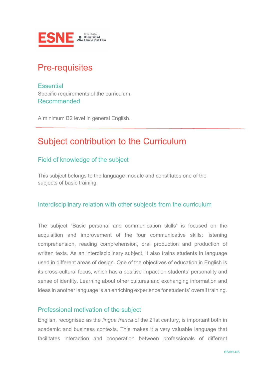

### Pre-requisites

**Essential** Specific requirements of the curriculum. Recommended

A minimum B2 level in general English.

### Subject contribution to the Curriculum

### Field of knowledge of the subject

This subject belongs to the language module and constitutes one of the subjects of basic training.

#### Interdisciplinary relation with other subjects from the curriculum

The subject "Basic personal and communication skills" is focused on the acquisition and improvement of the four communicative skills: listening comprehension, reading comprehension, oral production and production of written texts. As an interdisciplinary subject, it also trains students in language used in different areas of design. One of the objectives of education in English is its cross-cultural focus, which has a positive impact on students' personality and sense of identity. Learning about other cultures and exchanging information and ideas in another language is an enriching experience for students' overall training.

#### Professional motivation of the subject

English, recognised as the *lingua franca* of the 21st century, is important both in academic and business contexts. This makes it a very valuable language that facilitates interaction and cooperation between professionals of different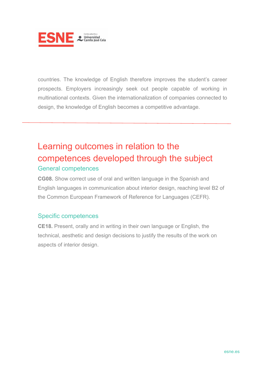

countries. The knowledge of English therefore improves the student's career prospects. Employers increasingly seek out people capable of working in multinational contexts. Given the internationalization of companies connected to design, the knowledge of English becomes a competitive advantage.

### Learning outcomes in relation to the competences developed through the subject General competences

### **CG08.** Show correct use of oral and written language in the Spanish and English languages in communication about interior design, reaching level B2 of the Common European Framework of Reference for Languages (CEFR).

### Specific competences

**CE18.** Present, orally and in writing in their own language or English, the technical, aesthetic and design decisions to justify the results of the work on aspects of interior design.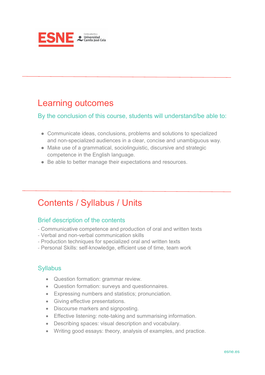

### Learning outcomes

#### By the conclusion of this course, students will understand/be able to:

- Communicate ideas, conclusions, problems and solutions to specialized and non-specialized audiences in a clear, concise and unambiguous way.
- Make use of a grammatical, sociolinguistic, discursive and strategic competence in the English language.
- Be able to better manage their expectations and resources.

### Contents / Syllabus / Units

### Brief description of the contents

- Communicative competence and production of oral and written texts
- Verbal and non-verbal communication skills
- Production techniques for specialized oral and written texts
- Personal Skills: self-knowledge, efficient use of time, team work

### **Syllabus**

- Question formation: grammar review.
- Question formation: surveys and questionnaires.
- Expressing numbers and statistics; pronunciation.
- Giving effective presentations.
- Discourse markers and signposting.
- Effective listening: note-taking and summarising information.
- Describing spaces: visual description and vocabulary.
- Writing good essays: theory, analysis of examples, and practice.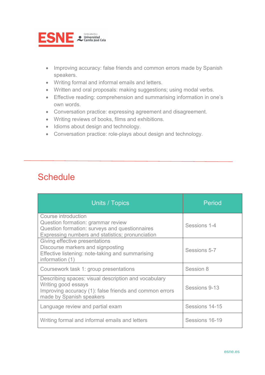

- Improving accuracy: false friends and common errors made by Spanish speakers.
- Writing formal and informal emails and letters.
- Written and oral proposals: making suggestions; using modal verbs.
- Effective reading: comprehension and summarising information in one's own words.
- Conversation practice: expressing agreement and disagreement.
- Writing reviews of books, films and exhibitions.
- Idioms about design and technology.
- Conversation practice: role-plays about design and technology.

### **Schedule**

| Units / Topics                                                                                                                                                     | Period         |
|--------------------------------------------------------------------------------------------------------------------------------------------------------------------|----------------|
| Course introduction<br>Question formation: grammar review<br>Question formation: surveys and questionnaires<br>Expressing numbers and statistics; pronunciation    | Sessions 1-4   |
| Giving effective presentations<br>Discourse markers and signposting<br>Effective listening: note-taking and summarising<br>information (1)                         | Sessions 5-7   |
| Coursework task 1: group presentations                                                                                                                             | Session 8      |
| Describing spaces: visual description and vocabulary<br>Writing good essays<br>Improving accuracy (1): false friends and common errors<br>made by Spanish speakers | Sessions 9-13  |
| Language review and partial exam                                                                                                                                   | Sessions 14-15 |
| Writing formal and informal emails and letters                                                                                                                     | Sessions 16-19 |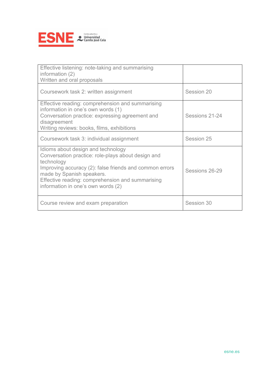

| Effective listening: note-taking and summarising<br>information $(2)$<br>Written and oral proposals                                                                                                                                                                                      |                |
|------------------------------------------------------------------------------------------------------------------------------------------------------------------------------------------------------------------------------------------------------------------------------------------|----------------|
| Coursework task 2: written assignment                                                                                                                                                                                                                                                    | Session 20     |
| Effective reading: comprehension and summarising<br>information in one's own words (1)<br>Conversation practice: expressing agreement and<br>disagreement<br>Writing reviews: books, films, exhibitions                                                                                  | Sessions 21-24 |
| Coursework task 3: individual assignment                                                                                                                                                                                                                                                 | Session 25     |
| Idioms about design and technology<br>Conversation practice: role-plays about design and<br>technology<br>Improving accuracy (2): false friends and common errors<br>made by Spanish speakers.<br>Effective reading: comprehension and summarising<br>information in one's own words (2) | Sessions 26-29 |
| Course review and exam preparation                                                                                                                                                                                                                                                       | Session 30     |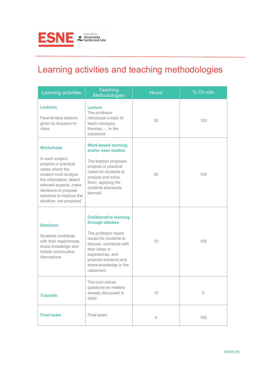

# Learning activities and teaching methodologies

| Learning activities                                                                                                                                                                                                                           | Teaching<br>Methodologies                                                                                                                                                                                                             | <b>Hours</b>   | % On-site |
|-----------------------------------------------------------------------------------------------------------------------------------------------------------------------------------------------------------------------------------------------|---------------------------------------------------------------------------------------------------------------------------------------------------------------------------------------------------------------------------------------|----------------|-----------|
| <b>Lectures</b><br>Face-to-face lessons<br>given by lecturers in-<br>class                                                                                                                                                                    | Lecture<br>The professor<br>introduces a topic to<br>teach concepts,<br>theories,  in the<br>classroom                                                                                                                                | 30             | 100       |
| <b>Workshops</b><br>In each subject,<br>projects or practical<br>cases where the<br>student must analyse<br>the information, detect<br>relevant aspects, make<br>decisions or propose<br>solutions to improve the<br>situation, are proposed. | <b>Work-based learning</b><br>and/or case studies<br>The teacher proposes<br>projects or practical<br>cases for students to<br>20<br>analyse and solve<br>them, applying the<br>contents previously<br>learned.                       |                | 100       |
| <b>Seminars</b><br>Students contribute<br>with their experiences,<br>share knowledge and<br>initiate constructive<br>discussions                                                                                                              | <b>Collaborative learning</b><br>through debates<br>The professor raises<br>issues for students to<br>discuss, contribute with<br>their ideas or<br>experiences, and<br>propose solutions and<br>share knowledge in the<br>classroom. | 10             | 100       |
| <b>Tutorials</b>                                                                                                                                                                                                                              | The tutor solves<br>questions on matters<br>already discussed In<br>class                                                                                                                                                             | 10             | $\Omega$  |
| <b>Final exam</b>                                                                                                                                                                                                                             | Final exam                                                                                                                                                                                                                            | $\overline{4}$ | 100       |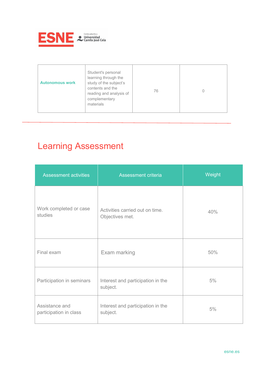

| Student's personal<br>learning through the<br>study of the subject's<br><b>Autonomous work</b><br>contents and the<br>reading and analysis of<br>complementary<br>materials | 76 |  |
|-----------------------------------------------------------------------------------------------------------------------------------------------------------------------------|----|--|
|-----------------------------------------------------------------------------------------------------------------------------------------------------------------------------|----|--|

# Learning Assessment

| <b>Assessment activities</b>             | Assessment criteria                                | Weight |
|------------------------------------------|----------------------------------------------------|--------|
| Work completed or case<br>studies        | Activities carried out on time.<br>Objectives met. | 40%    |
| Final exam                               | Exam marking                                       | 50%    |
| Participation in seminars                | Interest and participation in the<br>subject.      | 5%     |
| Assistance and<br>participation in class | Interest and participation in the<br>subject.      | 5%     |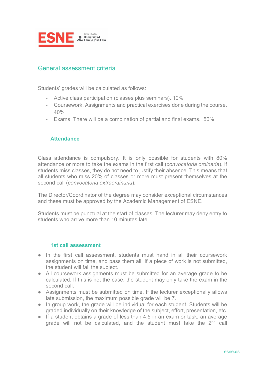

#### General assessment criteria

Students' grades will be calculated as follows:

- Active class participation (classes plus seminars). 10%
- Coursework. Assignments and practical exercises done during the course.  $40%$
- Exams. There will be a combination of partial and final exams. 50%

#### **Attendance**

Class attendance is compulsory. It is only possible for students with 80% attendance or more to take the exams in the first call (*convocatoria ordinaria*). If students miss classes, they do not need to justify their absence. This means that all students who miss 20% of classes or more must present themselves at the second call (*convocatoria extraordinaria*).

The Director/Coordinator of the degree may consider exceptional circumstances and these must be approved by the Academic Management of ESNE.

Students must be punctual at the start of classes. The lecturer may deny entry to students who arrive more than 10 minutes late.

#### **1st call assessment**

- In the first call assessment, students must hand in all their coursework assignments on time, and pass them all. If a piece of work is not submitted, the student will fail the subject.
- All coursework assignments must be submitted for an average grade to be calculated. If this is not the case, the student may only take the exam in the second call.
- Assignments must be submitted on time. If the lecturer exceptionally allows late submission, the maximum possible grade will be 7.
- In group work, the grade will be individual for each student. Students will be graded individually on their knowledge of the subject, effort, presentation, etc.
- If a student obtains a grade of less than 4.5 in an exam or task, an average grade will not be calculated, and the student must take the  $2<sup>nd</sup>$  call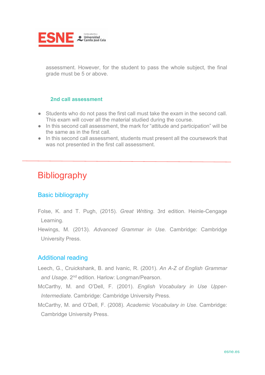

assessment. However, for the student to pass the whole subject, the final grade must be 5 or above.

#### **2nd call assessment**

- Students who do not pass the first call must take the exam in the second call. This exam will cover all the material studied during the course.
- In this second call assessment, the mark for "attitude and participation" will be the same as in the first call.
- In this second call assessment, students must present all the coursework that was not presented in the first call assessment.

### **Bibliography**

#### Basic bibliography

- Folse, K. and T. Pugh, (2015). *Great Writing*. 3rd edition. Heinle-Cengage Learning.
- Hewings, M. (2013). *Advanced Grammar in Use.* Cambridge: Cambridge University Press.

#### Additional reading

- Leech, G., Cruickshank, B. and Ivanic, R. (2001). *An A-Z of English Grammar and Usage*. 2nd edition. Harlow: Longman/Pearson.
- McCarthy, M. and O'Dell, F. (2001). *English Vocabulary in Use Upper-Intermediate.* Cambridge: Cambridge University Press.
- McCarthy, M. and O'Dell, F. (2008). *Academic Vocabulary in Use*. Cambridge: Cambridge University Press.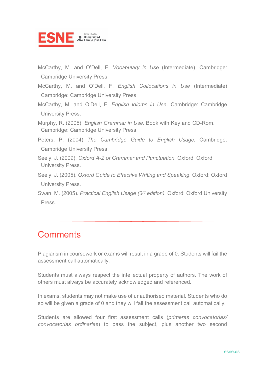

McCarthy, M. and O'Dell, F. *Vocabulary in Use* (Intermediate). Cambridge: Cambridge University Press.

McCarthy, M. and O'Dell, F. *English Collocations in Use* (Intermediate) Cambridge: Cambridge University Press.

McCarthy, M. and O'Dell, F. *English Idioms in Use*. Cambridge: Cambridge University Press.

Murphy, R. (2005). *English Grammar in Use*. Book with Key and CD-Rom. Cambridge: Cambridge University Press.

Peters, P. (2004) *The Cambridge Guide to English Usage.* Cambridge: Cambridge University Press.

- Seely, J. (2009). *Oxford A-Z of Grammar and Punctuation.* Oxford: Oxford University Press.
- Seely, J. (2005). *Oxford Guide to Effective Writing and Speaking*. Oxford: Oxford University Press.
- Swan, M. (2005). *Practical English Usage (3rd edition).* Oxford: Oxford University Press.

### **Comments**

Plagiarism in coursework or exams will result in a grade of 0. Students will fail the assessment call automatically.

Students must always respect the intellectual property of authors. The work of others must always be accurately acknowledged and referenced.

In exams, students may not make use of unauthorised material. Students who do so will be given a grade of 0 and they will fail the assessment call automatically.

Students are allowed four first assessment calls (*primeras convocatorias/ convocatorias ordinarias*) to pass the subject, plus another two second